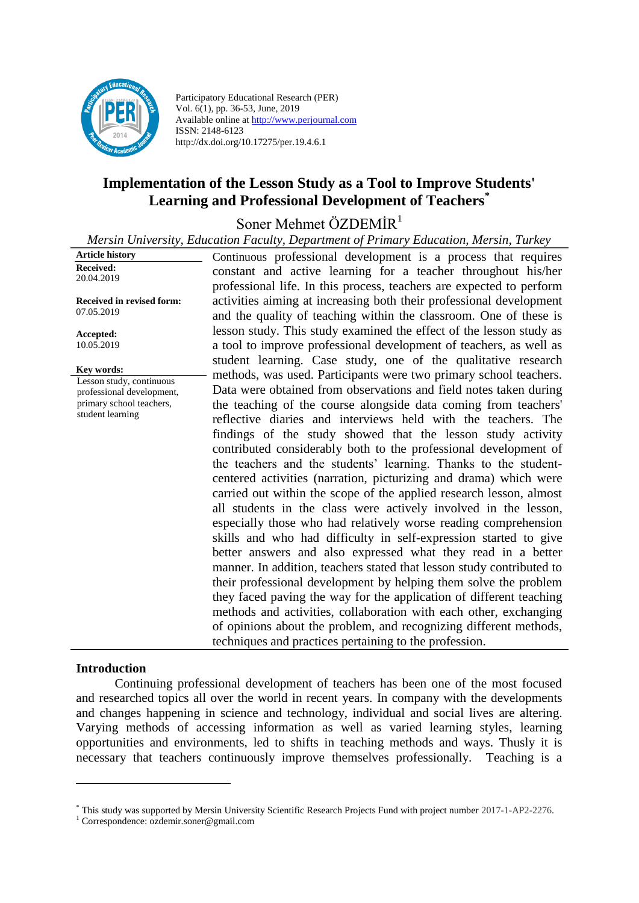

Participatory Educational Research (PER) Vol. 6(1), pp. 36-53, June, 2019 Available online at http://www.perjournal.com ISSN: 2148-6123 http://dx.doi.org/10.17275/per.19.4.6.1

# **Implementation of the Lesson Study as a Tool to Improve Students' Learning and Professional Development of Teachers\***

Soner Mehmet ÖZDEMİR<sup>1</sup>

*Mersin University, Education Faculty, Department of Primary Education, Mersin, Turkey*

| <b>Article history</b>                  | Continuous professional development is a process that requires        |
|-----------------------------------------|-----------------------------------------------------------------------|
| Received:                               | constant and active learning for a teacher throughout his/her         |
| 20.04.2019                              | professional life. In this process, teachers are expected to perform  |
|                                         |                                                                       |
| Received in revised form:<br>07.05.2019 | activities aiming at increasing both their professional development   |
|                                         | and the quality of teaching within the classroom. One of these is     |
| Accepted:                               | lesson study. This study examined the effect of the lesson study as   |
| 10.05.2019                              | a tool to improve professional development of teachers, as well as    |
|                                         | student learning. Case study, one of the qualitative research         |
| Key words:<br>Lesson study, continuous  | methods, was used. Participants were two primary school teachers.     |
| professional development,               | Data were obtained from observations and field notes taken during     |
| primary school teachers,                | the teaching of the course alongside data coming from teachers'       |
| student learning                        | reflective diaries and interviews held with the teachers. The         |
|                                         | findings of the study showed that the lesson study activity           |
|                                         | contributed considerably both to the professional development of      |
|                                         | the teachers and the students' learning. Thanks to the student-       |
|                                         | centered activities (narration, picturizing and drama) which were     |
|                                         |                                                                       |
|                                         | carried out within the scope of the applied research lesson, almost   |
|                                         | all students in the class were actively involved in the lesson,       |
|                                         | especially those who had relatively worse reading comprehension       |
|                                         | skills and who had difficulty in self-expression started to give      |
|                                         | better answers and also expressed what they read in a better          |
|                                         | manner. In addition, teachers stated that lesson study contributed to |
|                                         | their professional development by helping them solve the problem      |
|                                         | they faced paving the way for the application of different teaching   |
|                                         | methods and activities, collaboration with each other, exchanging     |
|                                         | of opinions about the problem, and recognizing different methods,     |
|                                         | techniques and practices pertaining to the profession.                |

#### **Introduction**

<u>.</u>

Continuing professional development of teachers has been one of the most focused and researched topics all over the world in recent years. In company with the developments and changes happening in science and technology, individual and social lives are altering. Varying methods of accessing information as well as varied learning styles, learning opportunities and environments, led to shifts in teaching methods and ways. Thusly it is necessary that teachers continuously improve themselves professionally. Teaching is a

<sup>\*</sup> This study was supported by Mersin University Scientific Research Projects Fund with project number 2017-1-AP2-2276.

<sup>1</sup> Correspondence: ozdemir.soner@gmail.com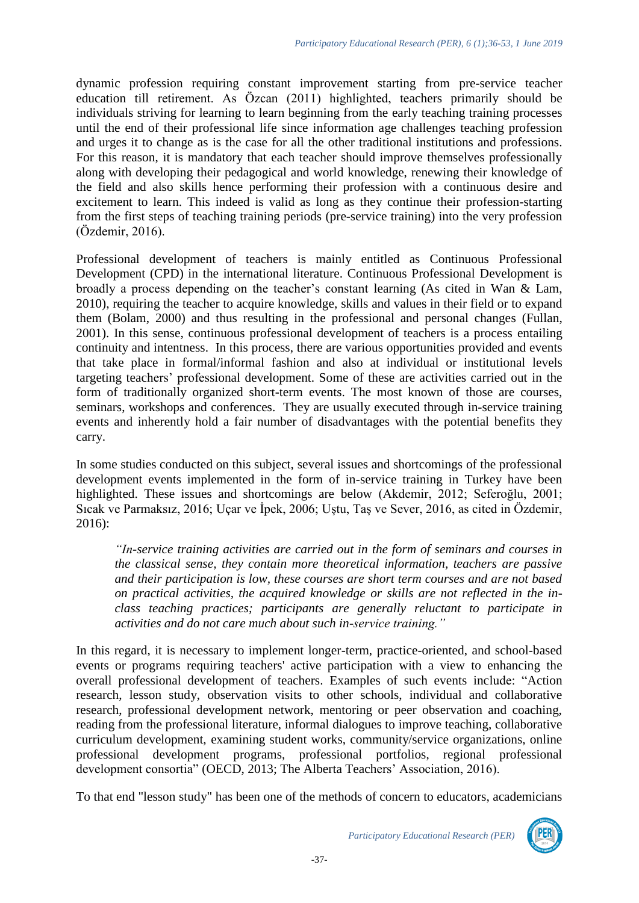dynamic profession requiring constant improvement starting from pre-service teacher education till retirement. As Özcan (2011) highlighted, teachers primarily should be individuals striving for learning to learn beginning from the early teaching training processes until the end of their professional life since information age challenges teaching profession and urges it to change as is the case for all the other traditional institutions and professions. For this reason, it is mandatory that each teacher should improve themselves professionally along with developing their pedagogical and world knowledge, renewing their knowledge of the field and also skills hence performing their profession with a continuous desire and excitement to learn. This indeed is valid as long as they continue their profession-starting from the first steps of teaching training periods (pre-service training) into the very profession (Özdemir, 2016).

Professional development of teachers is mainly entitled as Continuous Professional Development (CPD) in the international literature. Continuous Professional Development is broadly a process depending on the teacher's constant learning (As cited in Wan & Lam, 2010), requiring the teacher to acquire knowledge, skills and values in their field or to expand them (Bolam, 2000) and thus resulting in the professional and personal changes (Fullan, 2001). In this sense, continuous professional development of teachers is a process entailing continuity and intentness. In this process, there are various opportunities provided and events that take place in formal/informal fashion and also at individual or institutional levels targeting teachers' professional development. Some of these are activities carried out in the form of traditionally organized short-term events. The most known of those are courses, seminars, workshops and conferences. They are usually executed through in-service training events and inherently hold a fair number of disadvantages with the potential benefits they carry.

In some studies conducted on this subject, several issues and shortcomings of the professional development events implemented in the form of in-service training in Turkey have been highlighted. These issues and shortcomings are below (Akdemir, 2012; Seferoğlu, 2001; Sıcak ve Parmaksız, 2016; Uçar ve İpek, 2006; Uştu, Taş ve Sever, 2016, as cited in Özdemir, 2016):

*"In-service training activities are carried out in the form of seminars and courses in the classical sense, they contain more theoretical information, teachers are passive and their participation is low, these courses are short term courses and are not based on practical activities, the acquired knowledge or skills are not reflected in the inclass teaching practices; participants are generally reluctant to participate in activities and do not care much about such in-service training."*

In this regard, it is necessary to implement longer-term, practice-oriented, and school-based events or programs requiring teachers' active participation with a view to enhancing the overall professional development of teachers. Examples of such events include: "Action research, lesson study, observation visits to other schools, individual and collaborative research, professional development network, mentoring or peer observation and coaching, reading from the professional literature, informal dialogues to improve teaching, collaborative curriculum development, examining student works, community/service organizations, online professional development programs, professional portfolios, regional professional development consortia" (OECD, 2013; The Alberta Teachers' Association, 2016).

To that end "lesson study" has been one of the methods of concern to educators, academicians

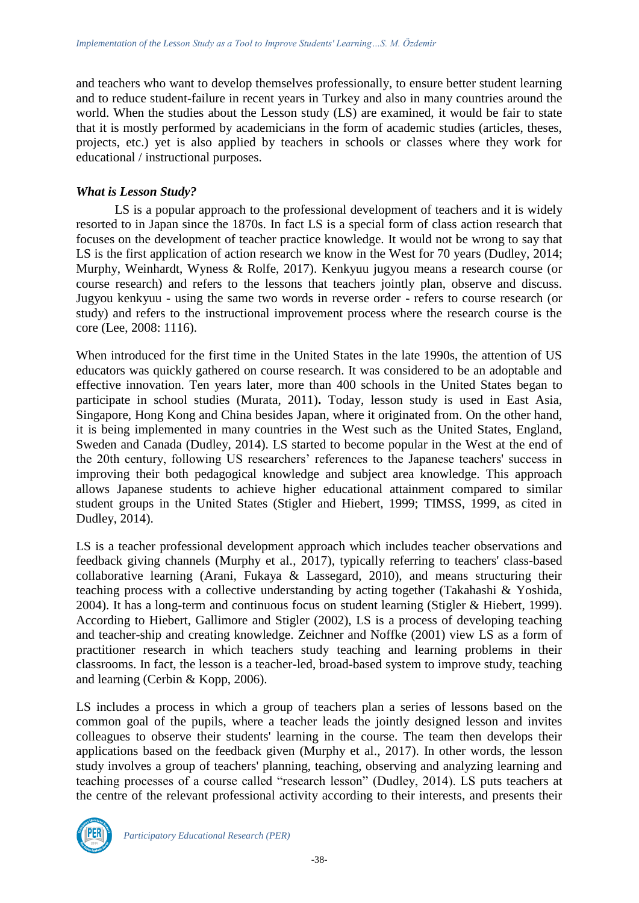and teachers who want to develop themselves professionally, to ensure better student learning and to reduce student-failure in recent years in Turkey and also in many countries around the world. When the studies about the Lesson study (LS) are examined, it would be fair to state that it is mostly performed by academicians in the form of academic studies (articles, theses, projects, etc.) yet is also applied by teachers in schools or classes where they work for educational / instructional purposes.

## *What is Lesson Study?*

LS is a popular approach to the professional development of teachers and it is widely resorted to in Japan since the 1870s. In fact LS is a special form of class action research that focuses on the development of teacher practice knowledge. It would not be wrong to say that LS is the first application of action research we know in the West for 70 years (Dudley, 2014; Murphy, Weinhardt, Wyness & Rolfe, 2017). Kenkyuu jugyou means a research course (or course research) and refers to the lessons that teachers jointly plan, observe and discuss. Jugyou kenkyuu - using the same two words in reverse order - refers to course research (or study) and refers to the instructional improvement process where the research course is the core (Lee, 2008: 1116).

When introduced for the first time in the United States in the late 1990s, the attention of US educators was quickly gathered on course research. It was considered to be an adoptable and effective innovation. Ten years later, more than 400 schools in the United States began to participate in school studies (Murata, 2011)**.** Today, lesson study is used in East Asia, Singapore, Hong Kong and China besides Japan, where it originated from. On the other hand, it is being implemented in many countries in the West such as the United States, England, Sweden and Canada (Dudley, 2014). LS started to become popular in the West at the end of the 20th century, following US researchers' references to the Japanese teachers' success in improving their both pedagogical knowledge and subject area knowledge. This approach allows Japanese students to achieve higher educational attainment compared to similar student groups in the United States (Stigler and Hiebert, 1999; TIMSS, 1999, as cited in Dudley, 2014).

LS is a teacher professional development approach which includes teacher observations and feedback giving channels (Murphy et al., 2017), typically referring to teachers' class-based collaborative learning (Arani, Fukaya & Lassegard, 2010), and means structuring their teaching process with a collective understanding by acting together (Takahashi & Yoshida, 2004). It has a long-term and continuous focus on student learning (Stigler & Hiebert, 1999). According to Hiebert, Gallimore and Stigler (2002), LS is a process of developing teaching and teacher-ship and creating knowledge. Zeichner and Noffke (2001) view LS as a form of practitioner research in which teachers study teaching and learning problems in their classrooms. In fact, the lesson is a teacher-led, broad-based system to improve study, teaching and learning (Cerbin & Kopp, 2006).

LS includes a process in which a group of teachers plan a series of lessons based on the common goal of the pupils, where a teacher leads the jointly designed lesson and invites colleagues to observe their students' learning in the course. The team then develops their applications based on the feedback given (Murphy et al., 2017). In other words, the lesson study involves a group of teachers' planning, teaching, observing and analyzing learning and teaching processes of a course called "research lesson" (Dudley, 2014). LS puts teachers at the centre of the relevant professional activity according to their interests, and presents their

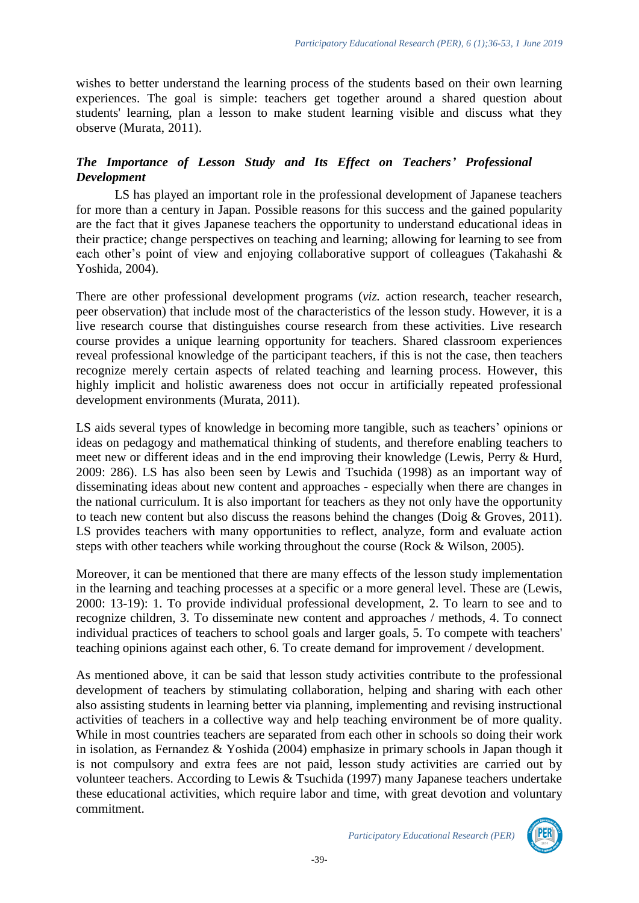wishes to better understand the learning process of the students based on their own learning experiences. The goal is simple: teachers get together around a shared question about students' learning, plan a lesson to make student learning visible and discuss what they observe (Murata, 2011).

# *The Importance of Lesson Study and Its Effect on Teachers' Professional Development*

LS has played an important role in the professional development of Japanese teachers for more than a century in Japan. Possible reasons for this success and the gained popularity are the fact that it gives Japanese teachers the opportunity to understand educational ideas in their practice; change perspectives on teaching and learning; allowing for learning to see from each other's point of view and enjoying collaborative support of colleagues (Takahashi & Yoshida, 2004).

There are other professional development programs (*viz.* action research, teacher research, peer observation) that include most of the characteristics of the lesson study. However, it is a live research course that distinguishes course research from these activities. Live research course provides a unique learning opportunity for teachers. Shared classroom experiences reveal professional knowledge of the participant teachers, if this is not the case, then teachers recognize merely certain aspects of related teaching and learning process. However, this highly implicit and holistic awareness does not occur in artificially repeated professional development environments (Murata, 2011).

LS aids several types of knowledge in becoming more tangible, such as teachers' opinions or ideas on pedagogy and mathematical thinking of students, and therefore enabling teachers to meet new or different ideas and in the end improving their knowledge (Lewis, Perry & Hurd, 2009: 286). LS has also been seen by Lewis and Tsuchida (1998) as an important way of disseminating ideas about new content and approaches - especially when there are changes in the national curriculum. It is also important for teachers as they not only have the opportunity to teach new content but also discuss the reasons behind the changes (Doig & Groves, 2011). LS provides teachers with many opportunities to reflect, analyze, form and evaluate action steps with other teachers while working throughout the course (Rock & Wilson, 2005).

Moreover, it can be mentioned that there are many effects of the lesson study implementation in the learning and teaching processes at a specific or a more general level. These are (Lewis, 2000: 13-19): 1. To provide individual professional development, 2. To learn to see and to recognize children, 3. To disseminate new content and approaches / methods, 4. To connect individual practices of teachers to school goals and larger goals, 5. To compete with teachers' teaching opinions against each other, 6. To create demand for improvement / development.

As mentioned above, it can be said that lesson study activities contribute to the professional development of teachers by stimulating collaboration, helping and sharing with each other also assisting students in learning better via planning, implementing and revising instructional activities of teachers in a collective way and help teaching environment be of more quality. While in most countries teachers are separated from each other in schools so doing their work in isolation, as Fernandez & Yoshida (2004) emphasize in primary schools in Japan though it is not compulsory and extra fees are not paid, lesson study activities are carried out by volunteer teachers. According to Lewis & Tsuchida (1997) many Japanese teachers undertake these educational activities, which require labor and time, with great devotion and voluntary commitment.

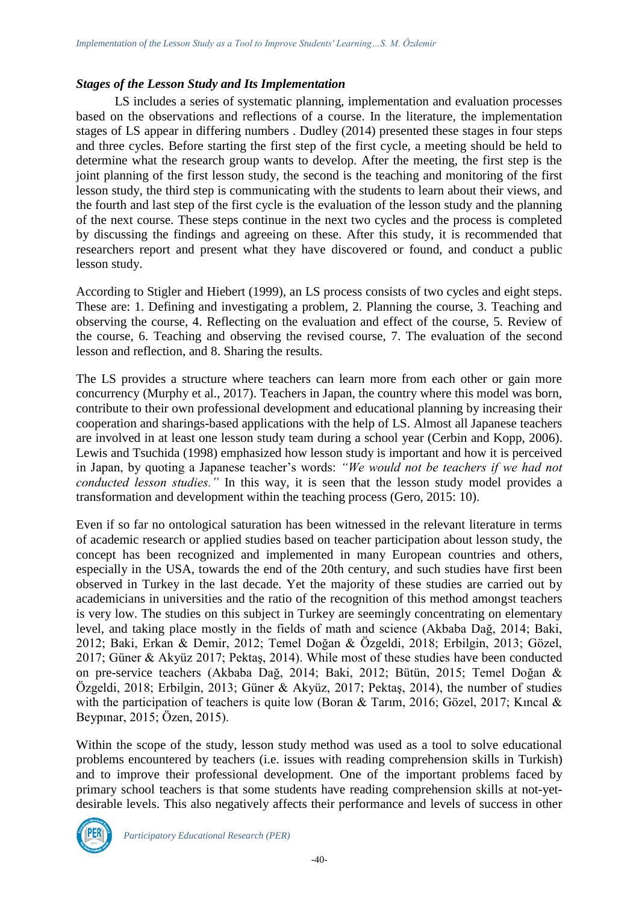#### *Stages of the Lesson Study and Its Implementation*

LS includes a series of systematic planning, implementation and evaluation processes based on the observations and reflections of a course. In the literature, the implementation stages of LS appear in differing numbers . Dudley (2014) presented these stages in four steps and three cycles. Before starting the first step of the first cycle, a meeting should be held to determine what the research group wants to develop. After the meeting, the first step is the joint planning of the first lesson study, the second is the teaching and monitoring of the first lesson study, the third step is communicating with the students to learn about their views, and the fourth and last step of the first cycle is the evaluation of the lesson study and the planning of the next course. These steps continue in the next two cycles and the process is completed by discussing the findings and agreeing on these. After this study, it is recommended that researchers report and present what they have discovered or found, and conduct a public lesson study.

According to Stigler and Hiebert (1999), an LS process consists of two cycles and eight steps. These are: 1. Defining and investigating a problem, 2. Planning the course, 3. Teaching and observing the course, 4. Reflecting on the evaluation and effect of the course, 5. Review of the course, 6. Teaching and observing the revised course, 7. The evaluation of the second lesson and reflection, and 8. Sharing the results.

The LS provides a structure where teachers can learn more from each other or gain more concurrency (Murphy et al., 2017). Teachers in Japan, the country where this model was born, contribute to their own professional development and educational planning by increasing their cooperation and sharings-based applications with the help of LS. Almost all Japanese teachers are involved in at least one lesson study team during a school year (Cerbin and Kopp, 2006). Lewis and Tsuchida (1998) emphasized how lesson study is important and how it is perceived in Japan, by quoting a Japanese teacher's words: *"We would not be teachers if we had not conducted lesson studies."* In this way, it is seen that the lesson study model provides a transformation and development within the teaching process (Gero, 2015: 10).

Even if so far no ontological saturation has been witnessed in the relevant literature in terms of academic research or applied studies based on teacher participation about lesson study, the concept has been recognized and implemented in many European countries and others, especially in the USA, towards the end of the 20th century, and such studies have first been observed in Turkey in the last decade. Yet the majority of these studies are carried out by academicians in universities and the ratio of the recognition of this method amongst teachers is very low. The studies on this subject in Turkey are seemingly concentrating on elementary level, and taking place mostly in the fields of math and science (Akbaba Dağ, 2014; Baki, 2012; Baki, Erkan & Demir, 2012; Temel Doğan & Özgeldi, 2018; Erbilgin, 2013; Gözel, 2017; Güner & Akyüz 2017; Pektaş, 2014). While most of these studies have been conducted on pre-service teachers (Akbaba Dağ, 2014; Baki, 2012; Bütün, 2015; Temel Doğan & Özgeldi, 2018; Erbilgin, 2013; Güner & Akyüz, 2017; Pektaş, 2014), the number of studies with the participation of teachers is quite low (Boran & Tarim, 2016; Gözel, 2017; Kincal & Beypınar, 2015; Özen, 2015).

Within the scope of the study, lesson study method was used as a tool to solve educational problems encountered by teachers (i.e. issues with reading comprehension skills in Turkish) and to improve their professional development. One of the important problems faced by primary school teachers is that some students have reading comprehension skills at not-yetdesirable levels. This also negatively affects their performance and levels of success in other

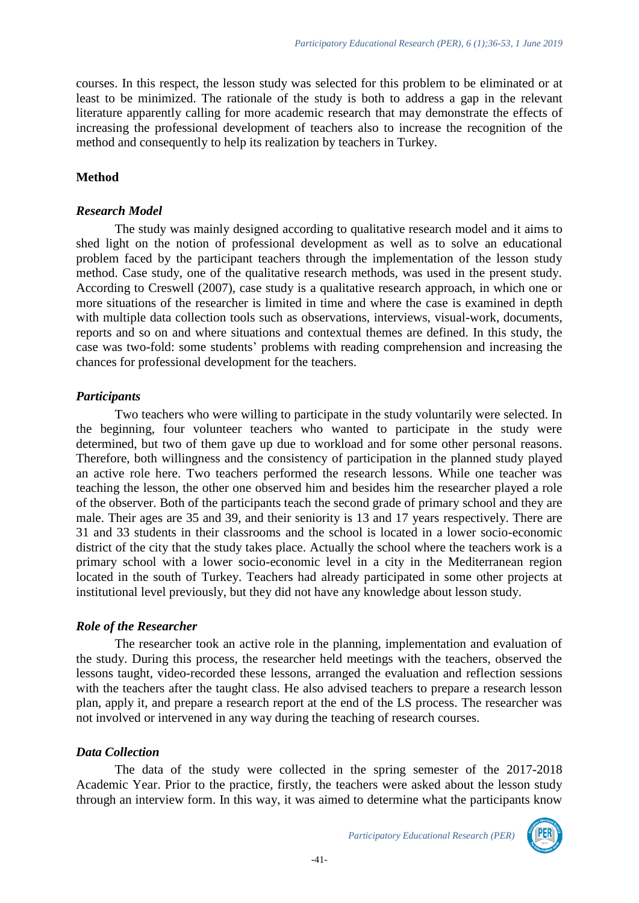courses. In this respect, the lesson study was selected for this problem to be eliminated or at least to be minimized. The rationale of the study is both to address a gap in the relevant literature apparently calling for more academic research that may demonstrate the effects of increasing the professional development of teachers also to increase the recognition of the method and consequently to help its realization by teachers in Turkey.

#### **Method**

#### *Research Model*

The study was mainly designed according to qualitative research model and it aims to shed light on the notion of professional development as well as to solve an educational problem faced by the participant teachers through the implementation of the lesson study method. Case study, one of the qualitative research methods, was used in the present study. According to Creswell (2007), case study is a qualitative research approach, in which one or more situations of the researcher is limited in time and where the case is examined in depth with multiple data collection tools such as observations, interviews, visual-work, documents, reports and so on and where situations and contextual themes are defined. In this study, the case was two-fold: some students' problems with reading comprehension and increasing the chances for professional development for the teachers.

#### *Participants*

Two teachers who were willing to participate in the study voluntarily were selected. In the beginning, four volunteer teachers who wanted to participate in the study were determined, but two of them gave up due to workload and for some other personal reasons. Therefore, both willingness and the consistency of participation in the planned study played an active role here. Two teachers performed the research lessons. While one teacher was teaching the lesson, the other one observed him and besides him the researcher played a role of the observer. Both of the participants teach the second grade of primary school and they are male. Their ages are 35 and 39, and their seniority is 13 and 17 years respectively. There are 31 and 33 students in their classrooms and the school is located in a lower socio-economic district of the city that the study takes place. Actually the school where the teachers work is a primary school with a lower socio-economic level in a city in the Mediterranean region located in the south of Turkey. Teachers had already participated in some other projects at institutional level previously, but they did not have any knowledge about lesson study.

#### *Role of the Researcher*

The researcher took an active role in the planning, implementation and evaluation of the study. During this process, the researcher held meetings with the teachers, observed the lessons taught, video-recorded these lessons, arranged the evaluation and reflection sessions with the teachers after the taught class. He also advised teachers to prepare a research lesson plan, apply it, and prepare a research report at the end of the LS process. The researcher was not involved or intervened in any way during the teaching of research courses.

#### *Data Collection*

The data of the study were collected in the spring semester of the 2017-2018 Academic Year. Prior to the practice, firstly, the teachers were asked about the lesson study through an interview form. In this way, it was aimed to determine what the participants know

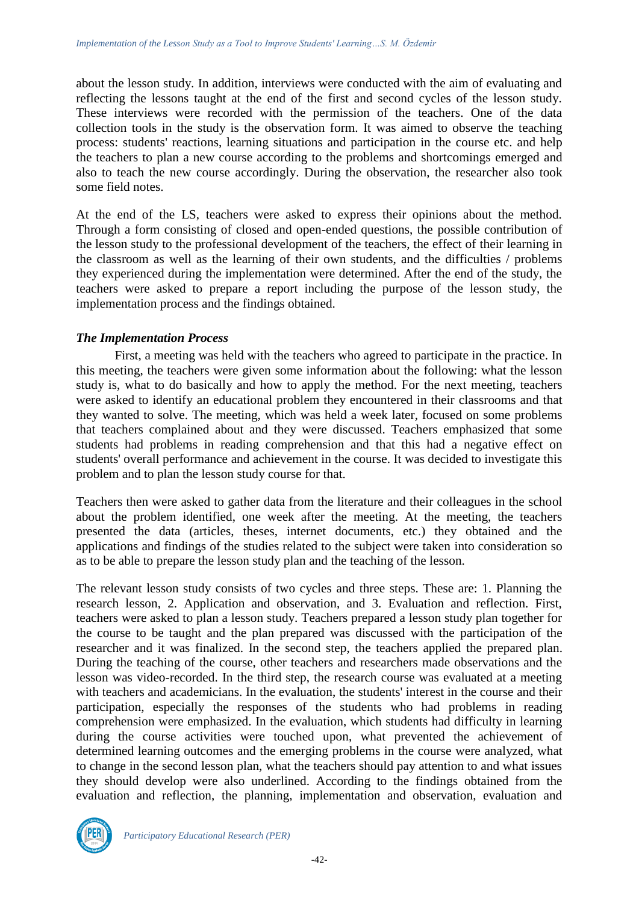about the lesson study. In addition, interviews were conducted with the aim of evaluating and reflecting the lessons taught at the end of the first and second cycles of the lesson study. These interviews were recorded with the permission of the teachers. One of the data collection tools in the study is the observation form. It was aimed to observe the teaching process: students' reactions, learning situations and participation in the course etc. and help the teachers to plan a new course according to the problems and shortcomings emerged and also to teach the new course accordingly. During the observation, the researcher also took some field notes.

At the end of the LS, teachers were asked to express their opinions about the method. Through a form consisting of closed and open-ended questions, the possible contribution of the lesson study to the professional development of the teachers, the effect of their learning in the classroom as well as the learning of their own students, and the difficulties / problems they experienced during the implementation were determined. After the end of the study, the teachers were asked to prepare a report including the purpose of the lesson study, the implementation process and the findings obtained.

### *The Implementation Process*

First, a meeting was held with the teachers who agreed to participate in the practice. In this meeting, the teachers were given some information about the following: what the lesson study is, what to do basically and how to apply the method. For the next meeting, teachers were asked to identify an educational problem they encountered in their classrooms and that they wanted to solve. The meeting, which was held a week later, focused on some problems that teachers complained about and they were discussed. Teachers emphasized that some students had problems in reading comprehension and that this had a negative effect on students' overall performance and achievement in the course. It was decided to investigate this problem and to plan the lesson study course for that.

Teachers then were asked to gather data from the literature and their colleagues in the school about the problem identified, one week after the meeting. At the meeting, the teachers presented the data (articles, theses, internet documents, etc.) they obtained and the applications and findings of the studies related to the subject were taken into consideration so as to be able to prepare the lesson study plan and the teaching of the lesson.

The relevant lesson study consists of two cycles and three steps. These are: 1. Planning the research lesson, 2. Application and observation, and 3. Evaluation and reflection. First, teachers were asked to plan a lesson study. Teachers prepared a lesson study plan together for the course to be taught and the plan prepared was discussed with the participation of the researcher and it was finalized. In the second step, the teachers applied the prepared plan. During the teaching of the course, other teachers and researchers made observations and the lesson was video-recorded. In the third step, the research course was evaluated at a meeting with teachers and academicians. In the evaluation, the students' interest in the course and their participation, especially the responses of the students who had problems in reading comprehension were emphasized. In the evaluation, which students had difficulty in learning during the course activities were touched upon, what prevented the achievement of determined learning outcomes and the emerging problems in the course were analyzed, what to change in the second lesson plan, what the teachers should pay attention to and what issues they should develop were also underlined. According to the findings obtained from the evaluation and reflection, the planning, implementation and observation, evaluation and

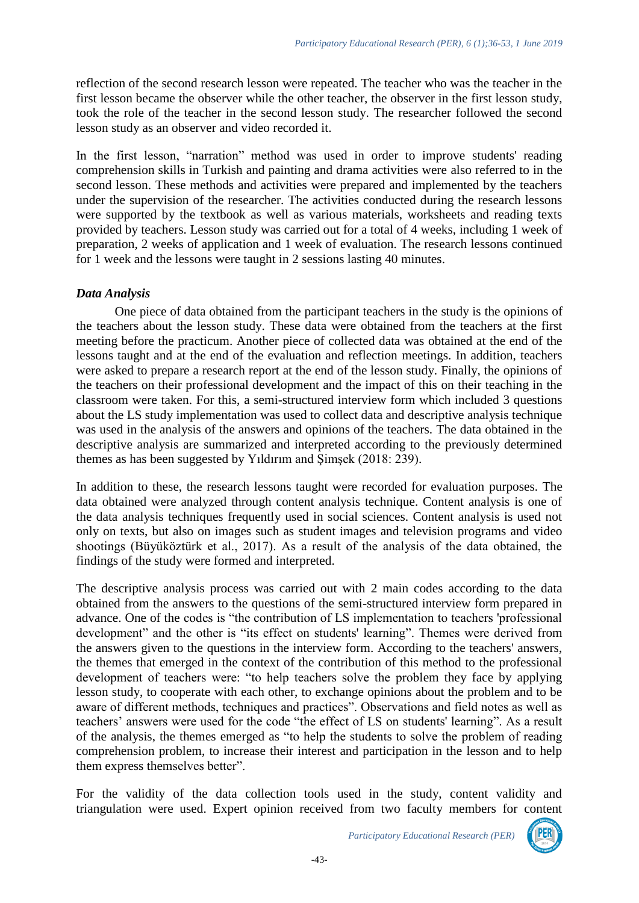reflection of the second research lesson were repeated. The teacher who was the teacher in the first lesson became the observer while the other teacher, the observer in the first lesson study, took the role of the teacher in the second lesson study. The researcher followed the second lesson study as an observer and video recorded it.

In the first lesson, "narration" method was used in order to improve students' reading comprehension skills in Turkish and painting and drama activities were also referred to in the second lesson. These methods and activities were prepared and implemented by the teachers under the supervision of the researcher. The activities conducted during the research lessons were supported by the textbook as well as various materials, worksheets and reading texts provided by teachers. Lesson study was carried out for a total of 4 weeks, including 1 week of preparation, 2 weeks of application and 1 week of evaluation. The research lessons continued for 1 week and the lessons were taught in 2 sessions lasting 40 minutes.

## *Data Analysis*

One piece of data obtained from the participant teachers in the study is the opinions of the teachers about the lesson study. These data were obtained from the teachers at the first meeting before the practicum. Another piece of collected data was obtained at the end of the lessons taught and at the end of the evaluation and reflection meetings. In addition, teachers were asked to prepare a research report at the end of the lesson study. Finally, the opinions of the teachers on their professional development and the impact of this on their teaching in the classroom were taken. For this, a semi-structured interview form which included 3 questions about the LS study implementation was used to collect data and descriptive analysis technique was used in the analysis of the answers and opinions of the teachers. The data obtained in the descriptive analysis are summarized and interpreted according to the previously determined themes as has been suggested by Yıldırım and Şimşek (2018: 239).

In addition to these, the research lessons taught were recorded for evaluation purposes. The data obtained were analyzed through content analysis technique. Content analysis is one of the data analysis techniques frequently used in social sciences. Content analysis is used not only on texts, but also on images such as student images and television programs and video shootings (Büyüköztürk et al., 2017). As a result of the analysis of the data obtained, the findings of the study were formed and interpreted.

The descriptive analysis process was carried out with 2 main codes according to the data obtained from the answers to the questions of the semi-structured interview form prepared in advance. One of the codes is "the contribution of LS implementation to teachers 'professional development" and the other is "its effect on students' learning". Themes were derived from the answers given to the questions in the interview form. According to the teachers' answers, the themes that emerged in the context of the contribution of this method to the professional development of teachers were: "to help teachers solve the problem they face by applying lesson study, to cooperate with each other, to exchange opinions about the problem and to be aware of different methods, techniques and practices". Observations and field notes as well as teachers' answers were used for the code "the effect of LS on students' learning". As a result of the analysis, the themes emerged as "to help the students to solve the problem of reading comprehension problem, to increase their interest and participation in the lesson and to help them express themselves better".

For the validity of the data collection tools used in the study, content validity and triangulation were used. Expert opinion received from two faculty members for content

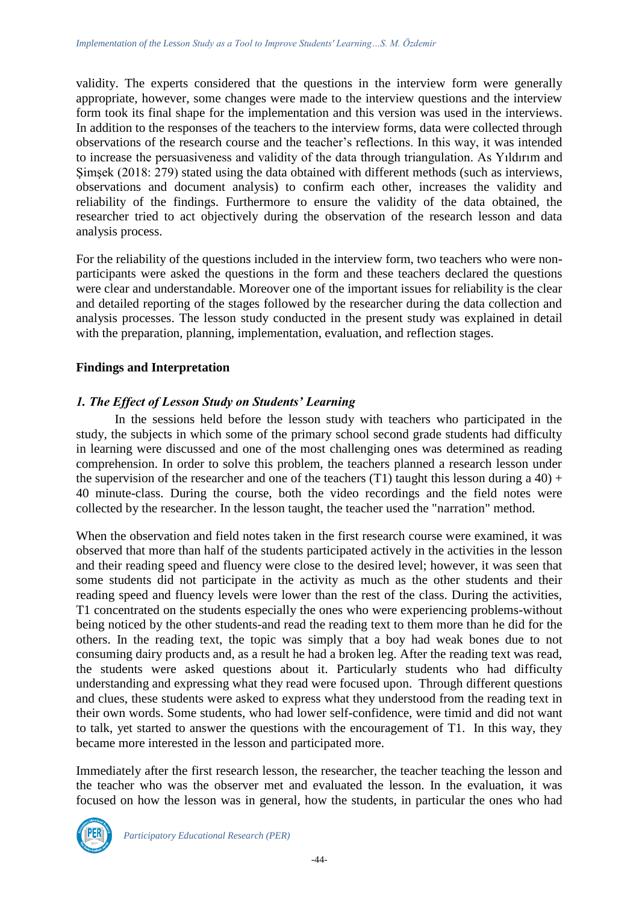validity. The experts considered that the questions in the interview form were generally appropriate, however, some changes were made to the interview questions and the interview form took its final shape for the implementation and this version was used in the interviews. In addition to the responses of the teachers to the interview forms, data were collected through observations of the research course and the teacher's reflections. In this way, it was intended to increase the persuasiveness and validity of the data through triangulation. As Yıldırım and Şimşek (2018: 279) stated using the data obtained with different methods (such as interviews, observations and document analysis) to confirm each other, increases the validity and reliability of the findings. Furthermore to ensure the validity of the data obtained, the researcher tried to act objectively during the observation of the research lesson and data analysis process.

For the reliability of the questions included in the interview form, two teachers who were nonparticipants were asked the questions in the form and these teachers declared the questions were clear and understandable. Moreover one of the important issues for reliability is the clear and detailed reporting of the stages followed by the researcher during the data collection and analysis processes. The lesson study conducted in the present study was explained in detail with the preparation, planning, implementation, evaluation, and reflection stages.

## **Findings and Interpretation**

### *1. The Effect of Lesson Study on Students' Learning*

In the sessions held before the lesson study with teachers who participated in the study, the subjects in which some of the primary school second grade students had difficulty in learning were discussed and one of the most challenging ones was determined as reading comprehension. In order to solve this problem, the teachers planned a research lesson under the supervision of the researcher and one of the teachers (T1) taught this lesson during a 40) + 40 minute-class. During the course, both the video recordings and the field notes were collected by the researcher. In the lesson taught, the teacher used the "narration" method.

When the observation and field notes taken in the first research course were examined, it was observed that more than half of the students participated actively in the activities in the lesson and their reading speed and fluency were close to the desired level; however, it was seen that some students did not participate in the activity as much as the other students and their reading speed and fluency levels were lower than the rest of the class. During the activities, T1 concentrated on the students especially the ones who were experiencing problems-without being noticed by the other students-and read the reading text to them more than he did for the others. In the reading text, the topic was simply that a boy had weak bones due to not consuming dairy products and, as a result he had a broken leg. After the reading text was read, the students were asked questions about it. Particularly students who had difficulty understanding and expressing what they read were focused upon. Through different questions and clues, these students were asked to express what they understood from the reading text in their own words. Some students, who had lower self-confidence, were timid and did not want to talk, yet started to answer the questions with the encouragement of T1. In this way, they became more interested in the lesson and participated more.

Immediately after the first research lesson, the researcher, the teacher teaching the lesson and the teacher who was the observer met and evaluated the lesson. In the evaluation, it was focused on how the lesson was in general, how the students, in particular the ones who had

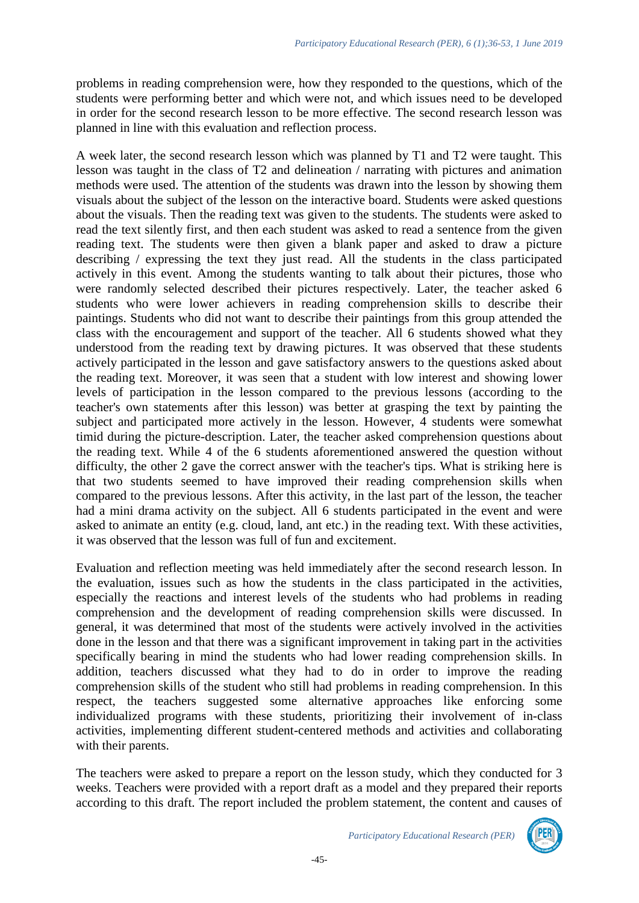problems in reading comprehension were, how they responded to the questions, which of the students were performing better and which were not, and which issues need to be developed in order for the second research lesson to be more effective. The second research lesson was planned in line with this evaluation and reflection process.

A week later, the second research lesson which was planned by T1 and T2 were taught. This lesson was taught in the class of T2 and delineation / narrating with pictures and animation methods were used. The attention of the students was drawn into the lesson by showing them visuals about the subject of the lesson on the interactive board. Students were asked questions about the visuals. Then the reading text was given to the students. The students were asked to read the text silently first, and then each student was asked to read a sentence from the given reading text. The students were then given a blank paper and asked to draw a picture describing / expressing the text they just read. All the students in the class participated actively in this event. Among the students wanting to talk about their pictures, those who were randomly selected described their pictures respectively. Later, the teacher asked 6 students who were lower achievers in reading comprehension skills to describe their paintings. Students who did not want to describe their paintings from this group attended the class with the encouragement and support of the teacher. All 6 students showed what they understood from the reading text by drawing pictures. It was observed that these students actively participated in the lesson and gave satisfactory answers to the questions asked about the reading text. Moreover, it was seen that a student with low interest and showing lower levels of participation in the lesson compared to the previous lessons (according to the teacher's own statements after this lesson) was better at grasping the text by painting the subject and participated more actively in the lesson. However, 4 students were somewhat timid during the picture-description. Later, the teacher asked comprehension questions about the reading text. While 4 of the 6 students aforementioned answered the question without difficulty, the other 2 gave the correct answer with the teacher's tips. What is striking here is that two students seemed to have improved their reading comprehension skills when compared to the previous lessons. After this activity, in the last part of the lesson, the teacher had a mini drama activity on the subject. All 6 students participated in the event and were asked to animate an entity (e.g. cloud, land, ant etc.) in the reading text. With these activities, it was observed that the lesson was full of fun and excitement.

Evaluation and reflection meeting was held immediately after the second research lesson. In the evaluation, issues such as how the students in the class participated in the activities, especially the reactions and interest levels of the students who had problems in reading comprehension and the development of reading comprehension skills were discussed. In general, it was determined that most of the students were actively involved in the activities done in the lesson and that there was a significant improvement in taking part in the activities specifically bearing in mind the students who had lower reading comprehension skills. In addition, teachers discussed what they had to do in order to improve the reading comprehension skills of the student who still had problems in reading comprehension. In this respect, the teachers suggested some alternative approaches like enforcing some individualized programs with these students, prioritizing their involvement of in-class activities, implementing different student-centered methods and activities and collaborating with their parents.

The teachers were asked to prepare a report on the lesson study, which they conducted for 3 weeks. Teachers were provided with a report draft as a model and they prepared their reports according to this draft. The report included the problem statement, the content and causes of

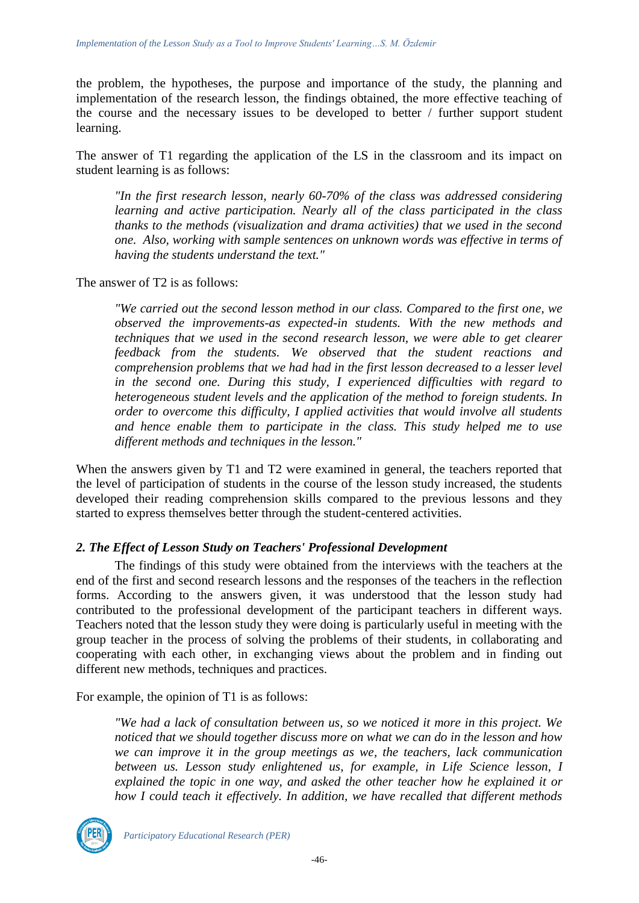the problem, the hypotheses, the purpose and importance of the study, the planning and implementation of the research lesson, the findings obtained, the more effective teaching of the course and the necessary issues to be developed to better / further support student learning.

The answer of T1 regarding the application of the LS in the classroom and its impact on student learning is as follows:

*"In the first research lesson, nearly 60-70% of the class was addressed considering learning and active participation. Nearly all of the class participated in the class thanks to the methods (visualization and drama activities) that we used in the second one. Also, working with sample sentences on unknown words was effective in terms of having the students understand the text."*

The answer of T2 is as follows:

*"We carried out the second lesson method in our class. Compared to the first one, we observed the improvements-as expected-in students. With the new methods and techniques that we used in the second research lesson, we were able to get clearer feedback from the students. We observed that the student reactions and comprehension problems that we had had in the first lesson decreased to a lesser level in the second one. During this study, I experienced difficulties with regard to heterogeneous student levels and the application of the method to foreign students. In order to overcome this difficulty, I applied activities that would involve all students and hence enable them to participate in the class. This study helped me to use different methods and techniques in the lesson."*

When the answers given by T1 and T2 were examined in general, the teachers reported that the level of participation of students in the course of the lesson study increased, the students developed their reading comprehension skills compared to the previous lessons and they started to express themselves better through the student-centered activities.

## *2. The Effect of Lesson Study on Teachers' Professional Development*

The findings of this study were obtained from the interviews with the teachers at the end of the first and second research lessons and the responses of the teachers in the reflection forms. According to the answers given, it was understood that the lesson study had contributed to the professional development of the participant teachers in different ways. Teachers noted that the lesson study they were doing is particularly useful in meeting with the group teacher in the process of solving the problems of their students, in collaborating and cooperating with each other, in exchanging views about the problem and in finding out different new methods, techniques and practices.

For example, the opinion of T1 is as follows:

*"We had a lack of consultation between us, so we noticed it more in this project. We noticed that we should together discuss more on what we can do in the lesson and how we can improve it in the group meetings as we, the teachers, lack communication between us. Lesson study enlightened us, for example, in Life Science lesson, I explained the topic in one way, and asked the other teacher how he explained it or how I could teach it effectively. In addition, we have recalled that different methods* 

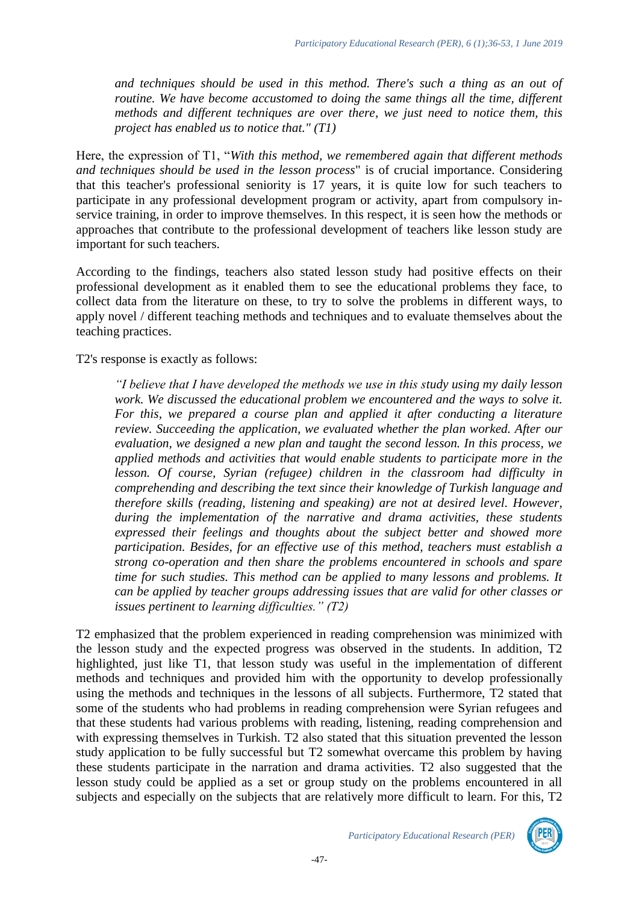*and techniques should be used in this method. There's such a thing as an out of*  routine. We have become accustomed to doing the same things all the time, different *methods and different techniques are over there, we just need to notice them, this project has enabled us to notice that." (T1)*

Here, the expression of T1, "*With this method, we remembered again that different methods and techniques should be used in the lesson process*" is of crucial importance. Considering that this teacher's professional seniority is 17 years, it is quite low for such teachers to participate in any professional development program or activity, apart from compulsory inservice training, in order to improve themselves. In this respect, it is seen how the methods or approaches that contribute to the professional development of teachers like lesson study are important for such teachers.

According to the findings, teachers also stated lesson study had positive effects on their professional development as it enabled them to see the educational problems they face, to collect data from the literature on these, to try to solve the problems in different ways, to apply novel / different teaching methods and techniques and to evaluate themselves about the teaching practices.

T2's response is exactly as follows:

*"I believe that I have developed the methods we use in this study using my daily lesson work. We discussed the educational problem we encountered and the ways to solve it. For this, we prepared a course plan and applied it after conducting a literature review. Succeeding the application, we evaluated whether the plan worked. After our evaluation, we designed a new plan and taught the second lesson. In this process, we applied methods and activities that would enable students to participate more in the*  lesson. Of course, Syrian (refugee) children in the classroom had difficulty in *comprehending and describing the text since their knowledge of Turkish language and therefore skills (reading, listening and speaking) are not at desired level. However, during the implementation of the narrative and drama activities, these students expressed their feelings and thoughts about the subject better and showed more participation. Besides, for an effective use of this method, teachers must establish a strong co-operation and then share the problems encountered in schools and spare time for such studies. This method can be applied to many lessons and problems. It can be applied by teacher groups addressing issues that are valid for other classes or issues pertinent to learning difficulties." (T2)*

T2 emphasized that the problem experienced in reading comprehension was minimized with the lesson study and the expected progress was observed in the students. In addition, T2 highlighted, just like T1, that lesson study was useful in the implementation of different methods and techniques and provided him with the opportunity to develop professionally using the methods and techniques in the lessons of all subjects. Furthermore, T2 stated that some of the students who had problems in reading comprehension were Syrian refugees and that these students had various problems with reading, listening, reading comprehension and with expressing themselves in Turkish. T2 also stated that this situation prevented the lesson study application to be fully successful but T2 somewhat overcame this problem by having these students participate in the narration and drama activities. T2 also suggested that the lesson study could be applied as a set or group study on the problems encountered in all subjects and especially on the subjects that are relatively more difficult to learn. For this, T2

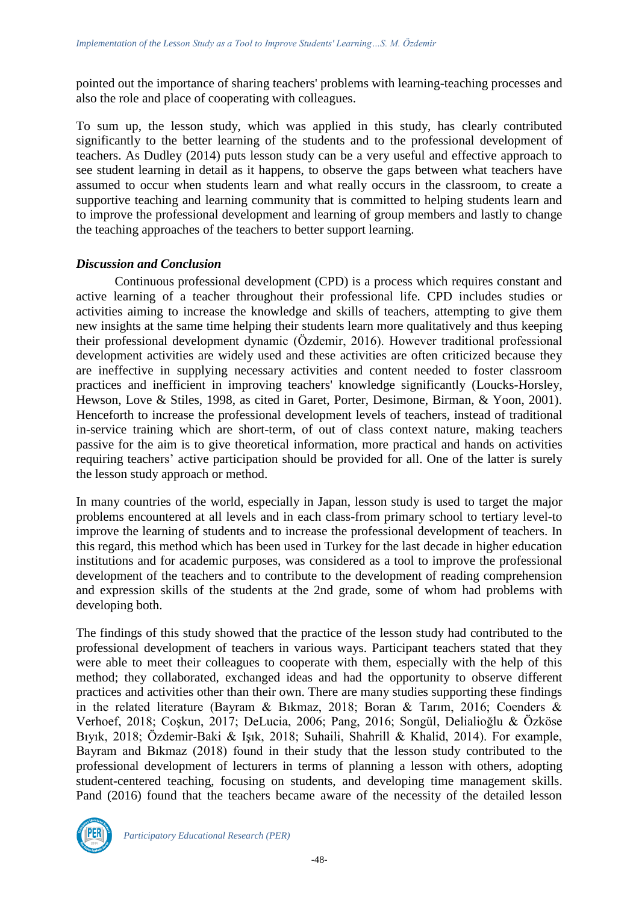pointed out the importance of sharing teachers' problems with learning-teaching processes and also the role and place of cooperating with colleagues.

To sum up, the lesson study, which was applied in this study, has clearly contributed significantly to the better learning of the students and to the professional development of teachers. As Dudley (2014) puts lesson study can be a very useful and effective approach to see student learning in detail as it happens, to observe the gaps between what teachers have assumed to occur when students learn and what really occurs in the classroom, to create a supportive teaching and learning community that is committed to helping students learn and to improve the professional development and learning of group members and lastly to change the teaching approaches of the teachers to better support learning.

### *Discussion and Conclusion*

Continuous professional development (CPD) is a process which requires constant and active learning of a teacher throughout their professional life. CPD includes studies or activities aiming to increase the knowledge and skills of teachers, attempting to give them new insights at the same time helping their students learn more qualitatively and thus keeping their professional development dynamic (Özdemir, 2016). However traditional professional development activities are widely used and these activities are often criticized because they are ineffective in supplying necessary activities and content needed to foster classroom practices and inefficient in improving teachers' knowledge significantly (Loucks-Horsley, Hewson, Love & Stiles, 1998, as cited in Garet, Porter, Desimone, Birman, & Yoon, 2001). Henceforth to increase the professional development levels of teachers, instead of traditional in-service training which are short-term, of out of class context nature, making teachers passive for the aim is to give theoretical information, more practical and hands on activities requiring teachers' active participation should be provided for all. One of the latter is surely the lesson study approach or method.

In many countries of the world, especially in Japan, lesson study is used to target the major problems encountered at all levels and in each class-from primary school to tertiary level-to improve the learning of students and to increase the professional development of teachers. In this regard, this method which has been used in Turkey for the last decade in higher education institutions and for academic purposes, was considered as a tool to improve the professional development of the teachers and to contribute to the development of reading comprehension and expression skills of the students at the 2nd grade, some of whom had problems with developing both.

The findings of this study showed that the practice of the lesson study had contributed to the professional development of teachers in various ways. Participant teachers stated that they were able to meet their colleagues to cooperate with them, especially with the help of this method; they collaborated, exchanged ideas and had the opportunity to observe different practices and activities other than their own. There are many studies supporting these findings in the related literature (Bayram & Bıkmaz, 2018; Boran & Tarım, 2016; Coenders & Verhoef, 2018; Coşkun, 2017; DeLucia, 2006; Pang, 2016; Songül, Delialioğlu & Özköse Bıyık, 2018; Özdemir-Baki & Işık, 2018; Suhaili, Shahrill & Khalid, 2014). For example, Bayram and Bıkmaz (2018) found in their study that the lesson study contributed to the professional development of lecturers in terms of planning a lesson with others, adopting student-centered teaching, focusing on students, and developing time management skills. Pand (2016) found that the teachers became aware of the necessity of the detailed lesson

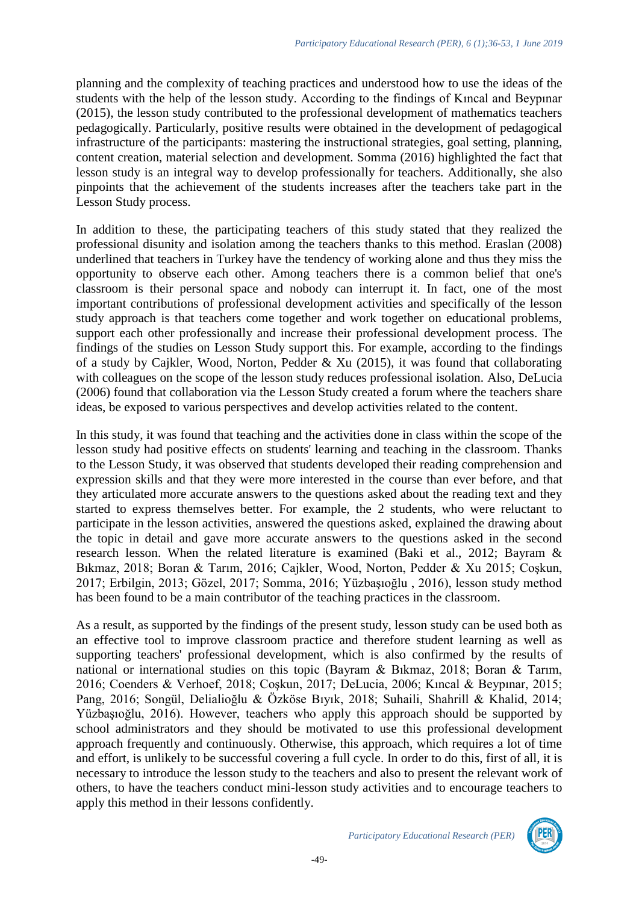planning and the complexity of teaching practices and understood how to use the ideas of the students with the help of the lesson study. According to the findings of Kıncal and Beypınar (2015), the lesson study contributed to the professional development of mathematics teachers pedagogically. Particularly, positive results were obtained in the development of pedagogical infrastructure of the participants: mastering the instructional strategies, goal setting, planning, content creation, material selection and development. Somma (2016) highlighted the fact that lesson study is an integral way to develop professionally for teachers. Additionally, she also pinpoints that the achievement of the students increases after the teachers take part in the Lesson Study process.

In addition to these, the participating teachers of this study stated that they realized the professional disunity and isolation among the teachers thanks to this method. Eraslan (2008) underlined that teachers in Turkey have the tendency of working alone and thus they miss the opportunity to observe each other. Among teachers there is a common belief that one's classroom is their personal space and nobody can interrupt it. In fact, one of the most important contributions of professional development activities and specifically of the lesson study approach is that teachers come together and work together on educational problems, support each other professionally and increase their professional development process. The findings of the studies on Lesson Study support this. For example, according to the findings of a study by Cajkler, Wood, Norton, Pedder & Xu (2015), it was found that collaborating with colleagues on the scope of the lesson study reduces professional isolation. Also, DeLucia (2006) found that collaboration via the Lesson Study created a forum where the teachers share ideas, be exposed to various perspectives and develop activities related to the content.

In this study, it was found that teaching and the activities done in class within the scope of the lesson study had positive effects on students' learning and teaching in the classroom. Thanks to the Lesson Study, it was observed that students developed their reading comprehension and expression skills and that they were more interested in the course than ever before, and that they articulated more accurate answers to the questions asked about the reading text and they started to express themselves better. For example, the 2 students, who were reluctant to participate in the lesson activities, answered the questions asked, explained the drawing about the topic in detail and gave more accurate answers to the questions asked in the second research lesson. When the related literature is examined (Baki et al., 2012; Bayram & Bıkmaz, 2018; Boran & Tarım, 2016; Cajkler, Wood, Norton, Pedder & Xu 2015; Coşkun, 2017; Erbilgin, 2013; Gözel, 2017; Somma, 2016; Yüzbaşıoğlu , 2016), lesson study method has been found to be a main contributor of the teaching practices in the classroom.

As a result, as supported by the findings of the present study, lesson study can be used both as an effective tool to improve classroom practice and therefore student learning as well as supporting teachers' professional development, which is also confirmed by the results of national or international studies on this topic (Bayram & Bıkmaz, 2018; Boran & Tarım, 2016; Coenders & Verhoef, 2018; Coşkun, 2017; DeLucia, 2006; Kıncal & Beypınar, 2015; Pang, 2016; Songül, Delialioğlu & Özköse Bıyık, 2018; Suhaili, Shahrill & Khalid, 2014; Yüzbaşıoğlu, 2016). However, teachers who apply this approach should be supported by school administrators and they should be motivated to use this professional development approach frequently and continuously. Otherwise, this approach, which requires a lot of time and effort, is unlikely to be successful covering a full cycle. In order to do this, first of all, it is necessary to introduce the lesson study to the teachers and also to present the relevant work of others, to have the teachers conduct mini-lesson study activities and to encourage teachers to apply this method in their lessons confidently.

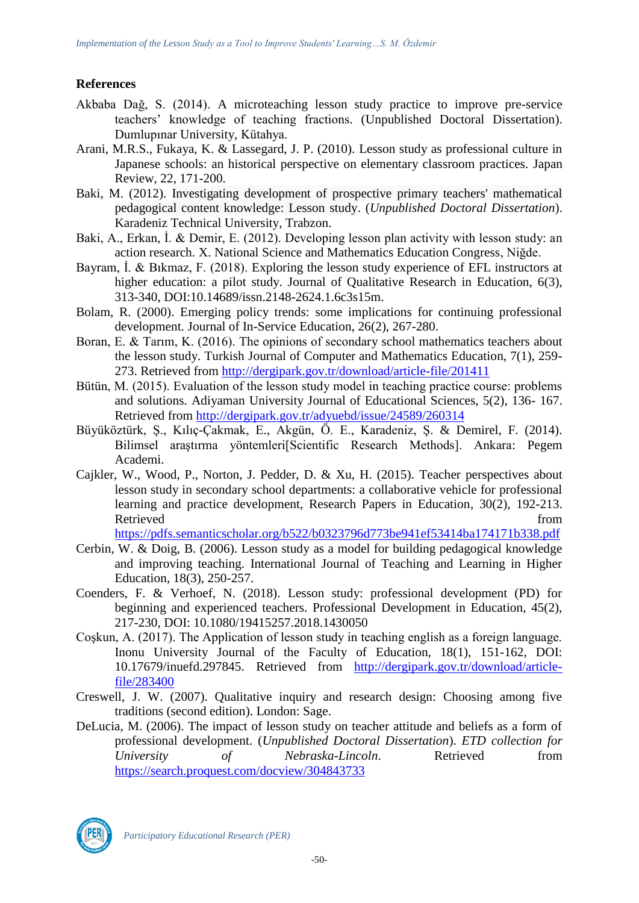# **References**

- Akbaba Dağ, S. (2014). A microteaching lesson study practice to improve pre-service teachers' knowledge of teaching fractions. (Unpublished Doctoral Dissertation). Dumlupınar University, Kütahya.
- Arani, M.R.S., Fukaya, K. & Lassegard, J. P. (2010). Lesson study as professional culture in Japanese schools: an historical perspective on elementary classroom practices. Japan Review, 22, 171-200.
- Baki, M. (2012). Investigating development of prospective primary teachers' mathematical pedagogical content knowledge: Lesson study. (*Unpublished Doctoral Dissertation*). Karadeniz Technical University, Trabzon.
- Baki, A., Erkan, İ. & Demir, E. (2012). Developing lesson plan activity with lesson study: an action research. X. National Science and Mathematics Education Congress, Niğde.
- Bayram, İ. & Bıkmaz, F. (2018). Exploring the lesson study experience of EFL instructors at higher education: a pilot study. Journal of Qualitative Research in Education, 6(3), 313-340, DOI:10.14689/issn.2148-2624.1.6c3s15m.
- Bolam, R. (2000). Emerging policy trends: some implications for continuing professional development. Journal of In-Service Education, 26(2), 267-280.
- Boran, E. & Tarım, K. (2016). The opinions of secondary school mathematics teachers about the lesson study. Turkish Journal of Computer and Mathematics Education, 7(1), 259- 273. Retrieved from<http://dergipark.gov.tr/download/article-file/201411>
- Bütün, M. (2015). Evaluation of the lesson study model in teaching practice course: problems and solutions. Adiyaman University Journal of Educational Sciences, 5(2), 136- 167. Retrieved from<http://dergipark.gov.tr/adyuebd/issue/24589/260314>
- Büyüköztürk, Ş., Kılıç-Çakmak, E., Akgün, Ö. E., Karadeniz, Ş. & Demirel, F. (2014). Bilimsel araştırma yöntemleri[Scientific Research Methods]. Ankara: Pegem Academi.
- Cajkler, W., Wood, P., Norton, J. Pedder, D. & Xu, H. (2015). Teacher perspectives about lesson study in secondary school departments: a collaborative vehicle for professional learning and practice development, Research Papers in Education, 30(2), 192-213. Retrieved from the state of the state of the state of the state of the state of the state of the state of the state of the state of the state of the state of the state of the state of the state of the state of the state of

<https://pdfs.semanticscholar.org/b522/b0323796d773be941ef53414ba174171b338.pdf>

- Cerbin, W. & Doig, B. (2006). Lesson study as a model for building pedagogical knowledge and improving teaching. International Journal of Teaching and Learning in Higher Education, 18(3), 250-257.
- Coenders, F. & Verhoef, N. (2018). Lesson study: professional development (PD) for beginning and experienced teachers. Professional Development in Education, 45(2), 217-230, DOI: 10.1080/19415257.2018.1430050
- Coşkun, A. (2017). The Application of lesson study in teaching english as a foreign language. Inonu University Journal of the Faculty of Education, 18(1), 151-162, DOI: 10.17679/inuefd.297845. Retrieved from [http://dergipark.gov.tr/download/article](http://dergipark.gov.tr/download/article-file/283400)[file/283400](http://dergipark.gov.tr/download/article-file/283400)
- Creswell, J. W. (2007). Qualitative inquiry and research design: Choosing among five traditions (second edition). London: Sage.
- DeLucia, M. (2006). The impact of lesson study on teacher attitude and beliefs as a form of professional development. (*Unpublished Doctoral Dissertation*). *ETD collection for University of Nebraska-Lincoln*. Retrieved from <https://search.proquest.com/docview/304843733>

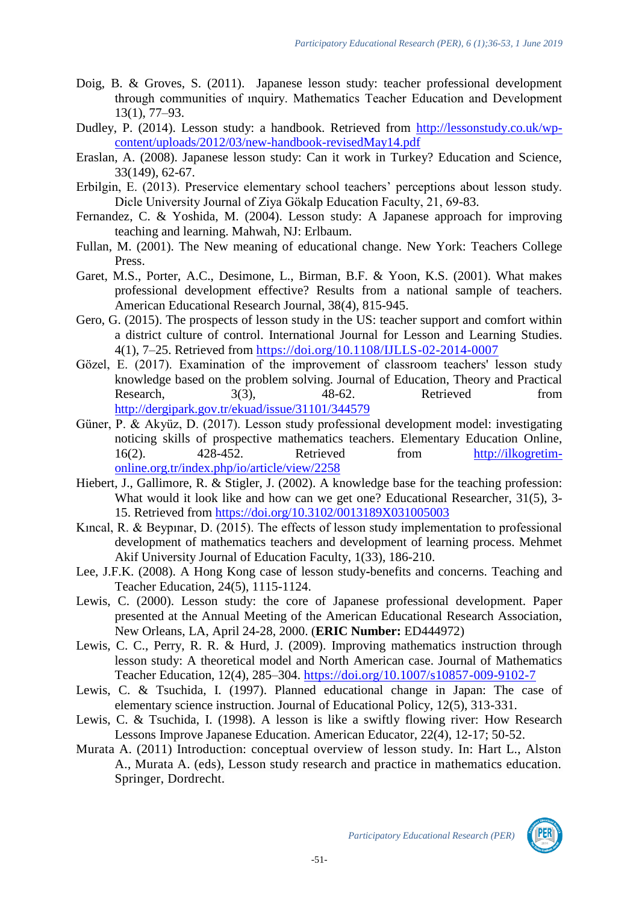- Doig, B. & Groves, S. (2011). Japanese lesson study: teacher professional development through communities of ınquiry. Mathematics Teacher Education and Development 13(1), 77–93.
- Dudley, P. (2014). Lesson study: a handbook. Retrieved from [http://lessonstudy.co.uk/wp](http://lessonstudy.co.uk/wp-content/uploads/2012/03/new-handbook-revisedMay14.pdf)[content/uploads/2012/03/new-handbook-revisedMay14.pdf](http://lessonstudy.co.uk/wp-content/uploads/2012/03/new-handbook-revisedMay14.pdf)
- Eraslan, A. (2008). Japanese lesson study: Can it work in Turkey? Education and Science, 33(149), 62-67.
- Erbilgin, E. (2013). Preservice elementary school teachers' perceptions about lesson study. Dicle University Journal of Ziya Gökalp Education Faculty, 21, 69-83.
- Fernandez, C. & Yoshida, M. (2004). Lesson study: A Japanese approach for improving teaching and learning. Mahwah, NJ: Erlbaum.
- Fullan, M. (2001). The New meaning of educational change. New York: Teachers College Press.
- Garet, M.S., Porter, A.C., Desimone, L., Birman, B.F. & Yoon, K.S. (2001). What makes professional development effective? Results from a national sample of teachers. American Educational Research Journal, 38(4), 815-945.
- Gero, G. (2015). The prospects of lesson study in the US: teacher support and comfort within a district culture of control. International Journal for Lesson and Learning Studies. 4(1), 7–25. Retrieved from<https://doi.org/10.1108/IJLLS-02-2014-0007>
- Gözel, E. (2017). Examination of the improvement of classroom teachers' lesson study knowledge based on the problem solving. Journal of Education, Theory and Practical Research,  $3(3)$ ,  $48-62$ . Retrieved from <http://dergipark.gov.tr/ekuad/issue/31101/344579>
- Güner, P. & Akyüz, D. (2017). Lesson study professional development model: investigating noticing skills of prospective mathematics teachers. Elementary Education Online, 16(2). 428-452. Retrieved from [http://ilkogretim](http://ilkogretim-online.org.tr/index.php/io/article/view/2258)[online.org.tr/index.php/io/article/view/2258](http://ilkogretim-online.org.tr/index.php/io/article/view/2258)
- Hiebert, J., Gallimore, R. & Stigler, J. (2002). A knowledge base for the teaching profession: What would it look like and how can we get one? Educational Researcher, 31(5), 3- 15. Retrieved from<https://doi.org/10.3102/0013189X031005003>
- Kıncal, R. & Beypınar, D. (2015). The effects of lesson study implementation to professional development of mathematics teachers and development of learning process. Mehmet Akif University Journal of Education Faculty, 1(33), 186-210.
- Lee, J.F.K. (2008). A Hong Kong case of lesson study**-**benefits and concerns. Teaching and Teacher Education, 24(5), 1115-1124.
- Lewis, C. (2000). Lesson study: the core of Japanese professional development. Paper presented at the Annual Meeting of the American Educational Research Association, New Orleans, LA, April 24-28, 2000. (**ERIC Number:** ED444972)
- Lewis, C. C., Perry, R. R. & Hurd, J. (2009). Improving mathematics instruction through lesson study: A theoretical model and North American case. Journal of Mathematics Teacher Education, 12(4), 285–304.<https://doi.org/10.1007/s10857-009-9102-7>
- Lewis, C. & Tsuchida, I. (1997). Planned educational change in Japan: The case of elementary science instruction. Journal of Educational Policy, 12(5), 313-331.
- Lewis, C. & Tsuchida, I. (1998). A lesson is like a swiftly flowing river: How Research Lessons Improve Japanese Education. American Educator, 22(4), 12-17; 50-52.
- Murata A. (2011) Introduction: conceptual overview of lesson study. In: Hart L., Alston A., Murata A. (eds), Lesson study research and practice in mathematics education. Springer, Dordrecht.

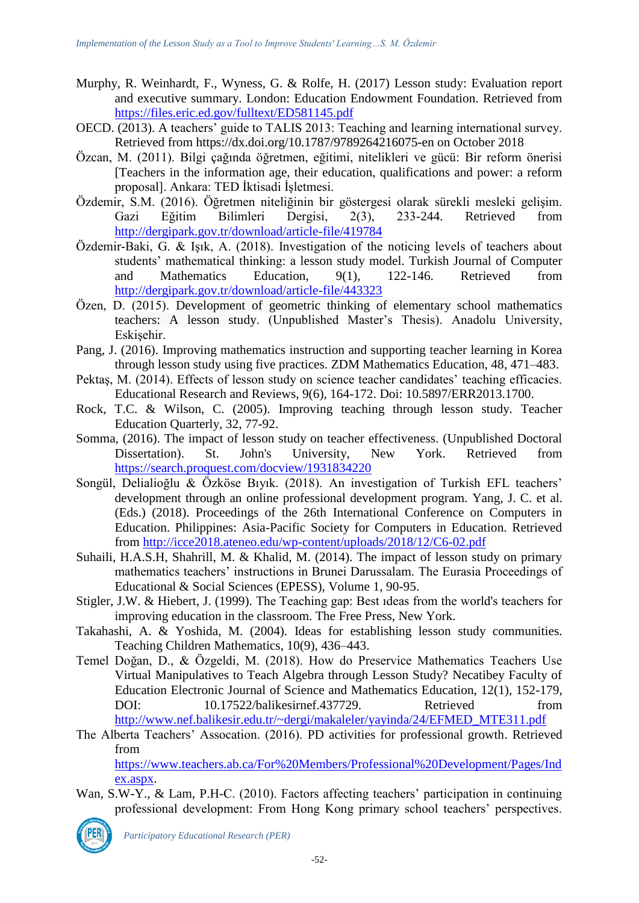- Murphy, R. Weinhardt, F., Wyness, G. & Rolfe, H. (2017) Lesson study: Evaluation report and executive summary. London: Education Endowment Foundation. Retrieved from <https://files.eric.ed.gov/fulltext/ED581145.pdf>
- OECD. (2013). A teachers' guide to TALIS 2013: Teaching and learning international survey. Retrieved from https://dx.doi.org/10.1787/9789264216075-en on October 2018
- Özcan, M. (2011). Bilgi çağında öğretmen, eğitimi, nitelikleri ve gücü: Bir reform önerisi [Teachers in the information age, their education, qualifications and power: a reform proposal]. Ankara: TED İktisadi İşletmesi.
- Özdemir, S.M. (2016). Öğretmen niteliğinin bir göstergesi olarak sürekli mesleki gelişim. Gazi Eğitim Bilimleri Dergisi, 2(3), 233-244. Retrieved from <http://dergipark.gov.tr/download/article-file/419784>
- Özdemir-Baki, G. & Işık, A. (2018). Investigation of the noticing levels of teachers about students' mathematical thinking: a lesson study model. Turkish Journal of Computer and Mathematics Education, 9(1), 122-146. Retrieved from <http://dergipark.gov.tr/download/article-file/443323>
- Özen, D. (2015). Development of geometric thinking of elementary school mathematics teachers: A lesson study. (Unpublished Master's Thesis). Anadolu University, Eskişehir.
- Pang, J. (2016). Improving mathematics instruction and supporting teacher learning in Korea through lesson study using five practices. ZDM Mathematics Education, 48, 471–483.
- Pektaş, M. (2014). Effects of lesson study on science teacher candidates' teaching efficacies. Educational Research and Reviews, 9(6), 164-172. Doi: 10.5897/ERR2013.1700.
- Rock, T.C. & Wilson, C. (2005). Improving teaching through lesson study. Teacher Education Quarterly, 32, 77-92.
- Somma, (2016). The impact of lesson study on teacher effectiveness. (Unpublished Doctoral Dissertation). St. John's University, New York. Retrieved from <https://search.proquest.com/docview/1931834220>
- Songül, Delialioğlu & Özköse Bıyık. (2018). An investigation of Turkish EFL teachers' development through an online professional development program. Yang, J. C. et al. (Eds.) (2018). Proceedings of the 26th International Conference on Computers in Education. Philippines: Asia-Pacific Society for Computers in Education. Retrieved from<http://icce2018.ateneo.edu/wp-content/uploads/2018/12/C6-02.pdf>
- Suhaili, H.A.S.H, Shahrill, M. & Khalid, M. (2014). The impact of lesson study on primary mathematics teachers' instructions in Brunei Darussalam. The Eurasia Proceedings of Educational & Social Sciences (EPESS), Volume 1, 90-95.
- Stigler, J.W. & Hiebert, J. (1999). The Teaching gap: Best ıdeas from the world's teachers for improving education in the classroom. The Free Press, New York.
- Takahashi, A. & Yoshida, M. (2004). Ideas for establishing lesson study communities. Teaching Children Mathematics, 10(9), 436–443.
- Temel Doğan, D., & Özgeldi, M. (2018). How do Preservice Mathematics Teachers Use Virtual Manipulatives to Teach Algebra through Lesson Study? Necatibey Faculty of Education Electronic Journal of Science and Mathematics Education, 12(1), 152-179, DOI: 10.17522/balikesirnef.437729. Retrieved from [http://www.nef.balikesir.edu.tr/~dergi/makaleler/yayinda/24/EFMED\\_MTE311.pdf](http://www.nef.balikesir.edu.tr/~dergi/makaleler/yayinda/24/EFMED_MTE311.pdf)
- The Alberta Teachers' Assocation. (2016). PD activities for professional growth. Retrieved from

[https://www.teachers.ab.ca/For%20Members/Professional%20Development/Pages/Ind](https://www.teachers.ab.ca/For%20Members/Professional%20Development/Pages/Index.aspx) [ex.aspx.](https://www.teachers.ab.ca/For%20Members/Professional%20Development/Pages/Index.aspx)

Wan, S.W-Y., & Lam, P.H-C. (2010). Factors affecting teachers' participation in continuing professional development: From Hong Kong primary school teachers' perspectives.



*Participatory Educational Research (PER)*